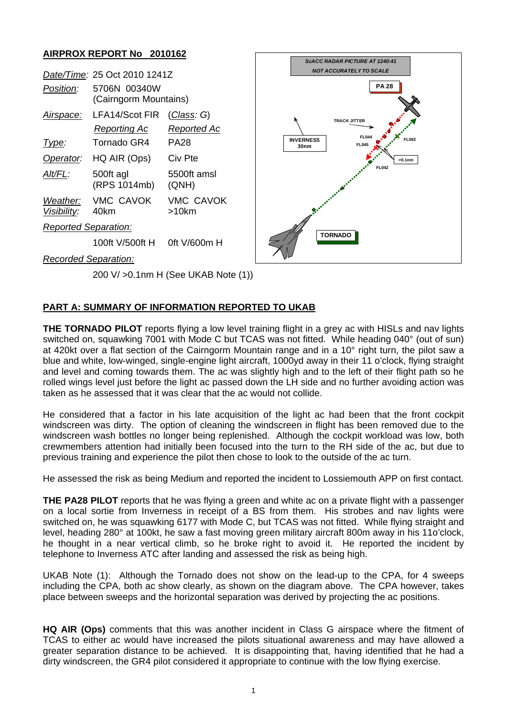## **AIRPROX REPORT No 2010162**

|                             | Date/Time: 25 Oct 2010 1241Z          |                                       |  | <b>NOT ACCURATELY TO SCALE</b> |                                              |
|-----------------------------|---------------------------------------|---------------------------------------|--|--------------------------------|----------------------------------------------|
| Position:                   | 5706N 00340W<br>(Cairngorm Mountains) |                                       |  | <b>PA 28</b>                   |                                              |
| Airspace:                   | LFA14/Scot FIR<br>Reporting Ac        | (Class: G)<br><b>Reported Ac</b>      |  |                                | <b>TRACK JITTER</b>                          |
| Type:                       | Tornado GR4                           | <b>PA28</b>                           |  | <b>INVERNESS</b><br>30nm       | <b>FL044</b><br><b>FL042</b><br><b>FL045</b> |
| Operator:                   | HQ AIR (Ops)                          | Civ Pte                               |  |                                | $>0.1$ nm                                    |
| Alt/FL:                     | 500ft agl<br>(RPS 1014mb)             | 5500ft amsl<br>(QNH)                  |  |                                | <b>FL042</b>                                 |
| Weather:<br>Visibility:     | <b>VMC CAVOK</b><br>40km              | <b>VMC CAVOK</b><br>>10km             |  |                                |                                              |
| <b>Reported Separation:</b> |                                       |                                       |  |                                |                                              |
|                             | 100ft V/500ft H                       | 0ft V/600m H                          |  |                                | <b>TORNADO</b>                               |
| <b>Recorded Separation:</b> |                                       |                                       |  |                                |                                              |
|                             |                                       | 200 V/ > 0.1 nm H (See UKAB Note (1)) |  |                                |                                              |

*ScACC RADAR PICTURE AT 1240:41*

## **PART A: SUMMARY OF INFORMATION REPORTED TO UKAB**

**THE TORNADO PILOT** reports flying a low level training flight in a grey ac with HISLs and nav lights switched on, squawking 7001 with Mode C but TCAS was not fitted. While heading 040° (out of sun) at 420kt over a flat section of the Cairngorm Mountain range and in a 10° right turn, the pilot saw a blue and white, low-winged, single-engine light aircraft, 1000yd away in their 11 o'clock, flying straight and level and coming towards them. The ac was slightly high and to the left of their flight path so he rolled wings level just before the light ac passed down the LH side and no further avoiding action was taken as he assessed that it was clear that the ac would not collide.

He considered that a factor in his late acquisition of the light ac had been that the front cockpit windscreen was dirty. The option of cleaning the windscreen in flight has been removed due to the windscreen wash bottles no longer being replenished. Although the cockpit workload was low, both crewmembers attention had initially been focused into the turn to the RH side of the ac, but due to previous training and experience the pilot then chose to look to the outside of the ac turn.

He assessed the risk as being Medium and reported the incident to Lossiemouth APP on first contact.

**THE PA28 PILOT** reports that he was flying a green and white ac on a private flight with a passenger on a local sortie from Inverness in receipt of a BS from them. His strobes and nav lights were switched on, he was squawking 6177 with Mode C, but TCAS was not fitted. While flying straight and level, heading 280° at 100kt, he saw a fast moving green military aircraft 800m away in his 11o'clock, he thought in a near vertical climb, so he broke right to avoid it. He reported the incident by telephone to Inverness ATC after landing and assessed the risk as being high.

UKAB Note (1): Although the Tornado does not show on the lead-up to the CPA, for 4 sweeps including the CPA, both ac show clearly, as shown on the diagram above. The CPA however, takes place between sweeps and the horizontal separation was derived by projecting the ac positions.

**HQ AIR (Ops)** comments that this was another incident in Class G airspace where the fitment of TCAS to either ac would have increased the pilots situational awareness and may have allowed a greater separation distance to be achieved. It is disappointing that, having identified that he had a dirty windscreen, the GR4 pilot considered it appropriate to continue with the low flying exercise.